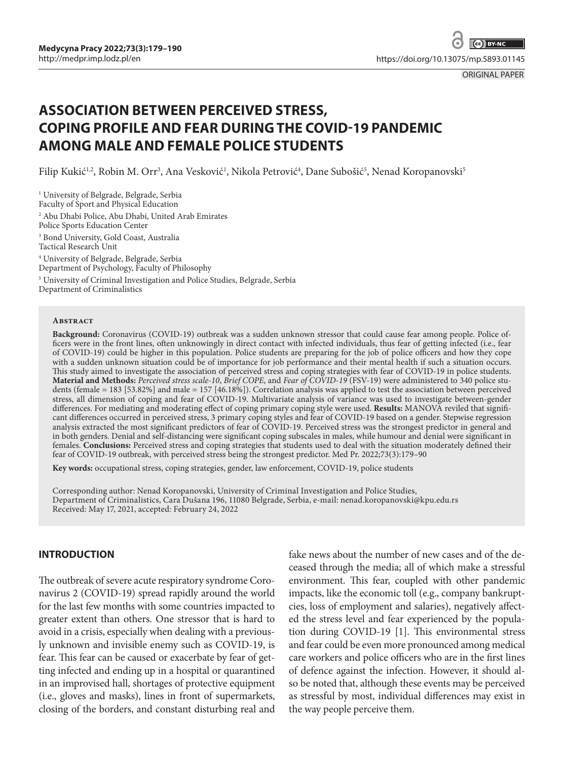# **ASSOCIATION BETWEEN PERCEIVED STRESS, COPING PROFILE AND FEAR DURING THE COVID-19 PANDEMIC AMONG MALE AND FEMALE POLICE STUDENTS**

Filip Kukić<sup>1,2</sup>, Robin M. Orr<sup>3</sup>, Ana Vesković<sup>1</sup>, Nikola Petrović<sup>4</sup>, Dane Subošić<sup>5</sup>, Nenad Koropanovski<sup>5</sup>

1 University of Belgrade, Belgrade, Serbia Faculty of Sport and Physical Education

2 Abu Dhabi Police, Abu Dhabi, United Arab Emirates Police Sports Education Center 3 Bond University, Gold Coast, Australia Tactical Research Unit 4 University of Belgrade, Belgrade, Serbia Department of Psychology, Faculty of Philosophy 5 University of Criminal Investigation and Police Studies, Belgrade, Serbia Department of Criminalistics

#### **Abstract**

**Background:** Coronavirus (COVID-19) outbreak was a sudden unknown stressor that could cause fear among people. Police officers were in the front lines, often unknowingly in direct contact with infected individuals, thus fear of getting infected (i.e., fear of COVID-19) could be higher in this population. Police students are preparing for the job of police officers and how they cope with a sudden unknown situation could be of importance for job performance and their mental health if such a situation occurs. This study aimed to investigate the association of perceived stress and coping strategies with fear of COVID-19 in police students. **Material and Methods:** *Perceived stress scale-10*, *Brief COPE*, and *Fear of COVID-19* (FSV-19) were administered to 340 police students (female = 183 [53.82%] and male = 157 [46.18%]). Correlation analysis was applied to test the association between perceived stress, all dimension of coping and fear of COVID-19. Multivariate analysis of variance was used to investigate between-gender differences. For mediating and moderating effect of coping primary coping style were used. **Results:** MANOVA reviled that significant differences occurred in perceived stress, 3 primary coping styles and fear of COVID-19 based on a gender. Stepwise regression analysis extracted the most significant predictors of fear of COVID-19. Perceived stress was the strongest predictor in general and in both genders. Denial and self-distancing were significant coping subscales in males, while humour and denial were significant in females. **Conclusions:** Perceived stress and coping strategies that students used to deal with the situation moderately defined their fear of COVID-19 outbreak, with perceived stress being the strongest predictor. Med Pr. 2022;73(3):179–90

**Key words:** occupational stress, coping strategies, gender, law enforcement, COVID-19, police students

Corresponding author: Nenad Koropanovski, University of Criminal Investigation and Police Studies, Department of Criminalistics, Cara Dušana 196, 11080 Belgrade, Serbia, e-mail: nenad.koropanovski@kpu.edu.rs Received: May 17, 2021, accepted: February 24, 2022

#### **INTRODUCTION**

The outbreak of severe acute respiratory syndrome Coronavirus 2 (COVID-19) spread rapidly around the world for the last few months with some countries impacted to greater extent than others. One stressor that is hard to avoid in a crisis, especially when dealing with a previously unknown and invisible enemy such as COVID-19, is fear. This fear can be caused or exacerbate by fear of getting infected and ending up in a hospital or quarantined in an improvised hall, shortages of protective equipment (i.e., gloves and masks), lines in front of supermarkets, closing of the borders, and constant disturbing real and

fake news about the number of new cases and of the deceased through the media; all of which make a stressful environment. This fear, coupled with other pandemic impacts, like the economic toll (e.g., company bankruptcies, loss of employment and salaries), negatively affected the stress level and fear experienced by the population during COVID-19 [1]. This environmental stress and fear could be even more pronounced among medical care workers and police officers who are in the first lines of defence against the infection. However, it should also be noted that, although these events may be perceived as stressful by most, individual differences may exist in the way people perceive them.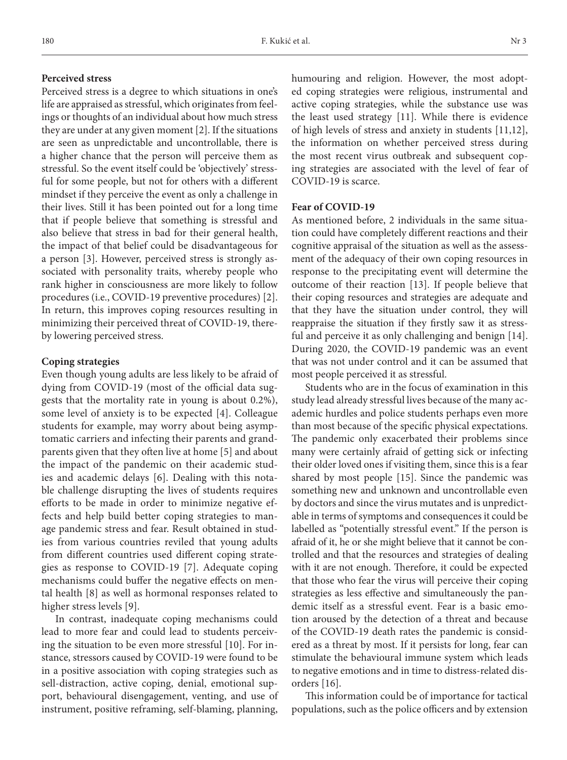Perceived stress is a degree to which situations in one's life are appraised as stressful, which originates from feelings or thoughts of an individual about how much stress they are under at any given moment [2]. If the situations are seen as unpredictable and uncontrollable, there is a higher chance that the person will perceive them as stressful. So the event itself could be 'objectively' stressful for some people, but not for others with a different mindset if they perceive the event as only a challenge in their lives. Still it has been pointed out for a long time that if people believe that something is stressful and also believe that stress in bad for their general health, the impact of that belief could be disadvantageous for a person [3]. However, perceived stress is strongly associated with personality traits, whereby people who rank higher in consciousness are more likely to follow procedures (i.e., COVID-19 preventive procedures) [2]. In return, this improves coping resources resulting in minimizing their perceived threat of COVID-19, thereby lowering perceived stress.

### **Coping strategies**

Even though young adults are less likely to be afraid of dying from COVID-19 (most of the official data suggests that the mortality rate in young is about 0.2%), some level of anxiety is to be expected [4]. Colleague students for example, may worry about being asymptomatic carriers and infecting their parents and grandparents given that they often live at home [5] and about the impact of the pandemic on their academic studies and academic delays [6]. Dealing with this notable challenge disrupting the lives of students requires efforts to be made in order to minimize negative effects and help build better coping strategies to manage pandemic stress and fear. Result obtained in studies from various countries reviled that young adults from different countries used different coping strategies as response to COVID-19 [7]. Adequate coping mechanisms could buffer the negative effects on mental health [8] as well as hormonal responses related to higher stress levels [9].

In contrast, inadequate coping mechanisms could lead to more fear and could lead to students perceiving the situation to be even more stressful [10]. For instance, stressors caused by COVID-19 were found to be in a positive association with coping strategies such as sell-distraction, active coping, denial, emotional support, behavioural disengagement, venting, and use of instrument, positive reframing, self-blaming, planning, humouring and religion. However, the most adopted coping strategies were religious, instrumental and active coping strategies, while the substance use was the least used strategy [11]. While there is evidence of high levels of stress and anxiety in students [11,12], the information on whether perceived stress during the most recent virus outbreak and subsequent coping strategies are associated with the level of fear of COVID-19 is scarce.

#### **Fear of COVID-19**

As mentioned before, 2 individuals in the same situation could have completely different reactions and their cognitive appraisal of the situation as well as the assessment of the adequacy of their own coping resources in response to the precipitating event will determine the outcome of their reaction [13]. If people believe that their coping resources and strategies are adequate and that they have the situation under control, they will reappraise the situation if they firstly saw it as stressful and perceive it as only challenging and benign [14]. During 2020, the COVID-19 pandemic was an event that was not under control and it can be assumed that most people perceived it as stressful.

Students who are in the focus of examination in this study lead already stressful lives because of the many academic hurdles and police students perhaps even more than most because of the specific physical expectations. The pandemic only exacerbated their problems since many were certainly afraid of getting sick or infecting their older loved ones if visiting them, since this is a fear shared by most people [15]. Since the pandemic was something new and unknown and uncontrollable even by doctors and since the virus mutates and is unpredictable in terms of symptoms and consequences it could be labelled as "potentially stressful event." If the person is afraid of it, he or she might believe that it cannot be controlled and that the resources and strategies of dealing with it are not enough. Therefore, it could be expected that those who fear the virus will perceive their coping strategies as less effective and simultaneously the pandemic itself as a stressful event. Fear is a basic emotion aroused by the detection of a threat and because of the COVID-19 death rates the pandemic is considered as a threat by most. If it persists for long, fear can stimulate the behavioural immune system which leads to negative emotions and in time to distress-related disorders [16].

This information could be of importance for tactical populations, such as the police officers and by extension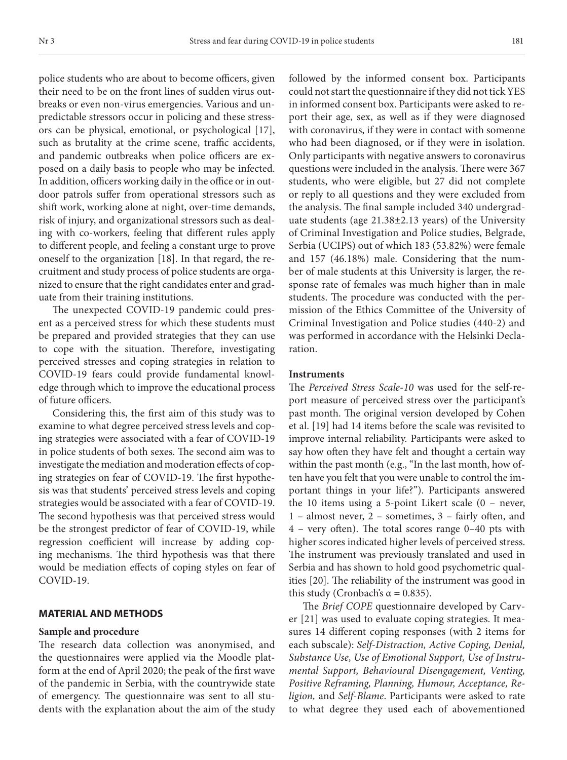police students who are about to become officers, given their need to be on the front lines of sudden virus outbreaks or even non-virus emergencies. Various and unpredictable stressors occur in policing and these stressors can be physical, emotional, or psychological [17], such as brutality at the crime scene, traffic accidents, and pandemic outbreaks when police officers are exposed on a daily basis to people who may be infected. In addition, officers working daily in the office or in outdoor patrols suffer from operational stressors such as shift work, working alone at night, over-time demands, risk of injury, and organizational stressors such as dealing with co-workers, feeling that different rules apply to different people, and feeling a constant urge to prove oneself to the organization [18]. In that regard, the recruitment and study process of police students are organized to ensure that the right candidates enter and graduate from their training institutions.

The unexpected COVID-19 pandemic could present as a perceived stress for which these students must be prepared and provided strategies that they can use to cope with the situation. Therefore, investigating perceived stresses and coping strategies in relation to COVID-19 fears could provide fundamental knowledge through which to improve the educational process of future officers.

Considering this, the first aim of this study was to examine to what degree perceived stress levels and coping strategies were associated with a fear of COVID-19 in police students of both sexes. The second aim was to investigate the mediation and moderation effects of coping strategies on fear of COVID-19. The first hypothesis was that students' perceived stress levels and coping strategies would be associated with a fear of COVID-19. The second hypothesis was that perceived stress would be the strongest predictor of fear of COVID-19, while regression coefficient will increase by adding coping mechanisms. The third hypothesis was that there would be mediation effects of coping styles on fear of COVID-19.

# **MATERIAL AND METHODS**

#### **Sample and procedure**

The research data collection was anonymised, and the questionnaires were applied via the Moodle platform at the end of April 2020; the peak of the first wave of the pandemic in Serbia, with the countrywide state of emergency. The questionnaire was sent to all students with the explanation about the aim of the study followed by the informed consent box. Participants could not start the questionnaire if they did not tick YES in informed consent box. Participants were asked to report their age, sex, as well as if they were diagnosed with coronavirus, if they were in contact with someone who had been diagnosed, or if they were in isolation. Only participants with negative answers to coronavirus questions were included in the analysis. There were 367 students, who were eligible, but 27 did not complete or reply to all questions and they were excluded from the analysis. The final sample included 340 undergraduate students (age 21.38±2.13 years) of the University of Criminal Investigation and Police studies, Belgrade, Serbia (UCIPS) out of which 183 (53.82%) were female and 157 (46.18%) male. Considering that the number of male students at this University is larger, the response rate of females was much higher than in male students. The procedure was conducted with the permission of the Ethics Committee of the University of Criminal Investigation and Police studies (440-2) and was performed in accordance with the Helsinki Declaration.

#### **Instruments**

The *Perceived Stress Scale-10* was used for the self-report measure of perceived stress over the participant's past month. The original version developed by Cohen et al. [19] had 14 items before the scale was revisited to improve internal reliability. Participants were asked to say how often they have felt and thought a certain way within the past month (e.g., "In the last month, how often have you felt that you were unable to control the important things in your life?"). Participants answered the  $10$  items using a 5-point Likert scale  $(0 -$  never, 1 – almost never, 2 – sometimes, 3 – fairly often, and 4 – very often). The total scores range 0–40 pts with higher scores indicated higher levels of perceived stress. The instrument was previously translated and used in Serbia and has shown to hold good psychometric qualities [20]. The reliability of the instrument was good in this study (Cronbach's  $\alpha = 0.835$ ).

The *Brief COPE* questionnaire developed by Carver [21] was used to evaluate coping strategies. It measures 14 different coping responses (with 2 items for each subscale): *Self-Distraction, Active Coping, Denial, Substance Use, Use of Emotional Support, Use of Instrumental Support, Behavioural Disengagement, Venting, Positive Reframing, Planning, Humour, Acceptance, Religion,* and *Self-Blame*. Participants were asked to rate to what degree they used each of abovementioned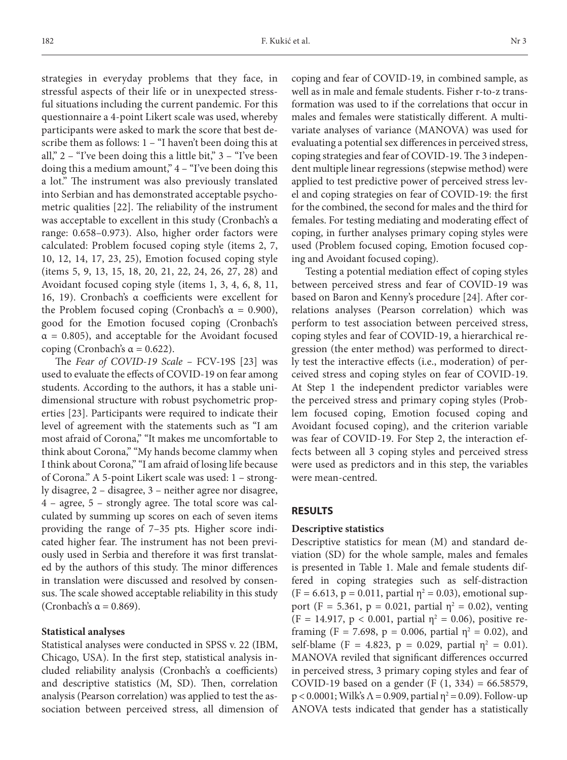strategies in everyday problems that they face, in stressful aspects of their life or in unexpected stressful situations including the current pandemic. For this questionnaire a 4-point Likert scale was used, whereby participants were asked to mark the score that best describe them as follows: 1 – "I haven't been doing this at all,"  $2 -$  "I've been doing this a little bit,"  $3 -$  "I've been doing this a medium amount,"  $4 -$  "I've been doing this a lot." The instrument was also previously translated into Serbian and has demonstrated acceptable psychometric qualities [22]. The reliability of the instrument was acceptable to excellent in this study (Cronbach's α range: 0.658–0.973). Also, higher order factors were calculated: Problem focused coping style (items 2, 7, 10, 12, 14, 17, 23, 25), Emotion focused coping style (items 5, 9, 13, 15, 18, 20, 21, 22, 24, 26, 27, 28) and Avoidant focused coping style (items 1, 3, 4, 6, 8, 11, 16, 19). Cronbach's α coefficients were excellent for the Problem focused coping (Cronbach's  $\alpha = 0.900$ ), good for the Emotion focused coping (Cronbach's  $\alpha = 0.805$ , and acceptable for the Avoidant focused coping (Cronbach's  $\alpha = 0.622$ ).

The *Fear of COVID-19 Scale –* FCV-19S [23] was used to evaluate the effects of COVID-19 on fear among students. According to the authors, it has a stable unidimensional structure with robust psychometric properties [23]. Participants were required to indicate their level of agreement with the statements such as "I am most afraid of Corona," "It makes me uncomfortable to think about Corona," "My hands become clammy when I think about Corona," "I am afraid of losing life because of Corona." A 5-point Likert scale was used: 1 – strongly disagree, 2 – disagree, 3 – neither agree nor disagree, 4 – agree, 5 – strongly agree. The total score was calculated by summing up scores on each of seven items providing the range of 7–35 pts. Higher score indicated higher fear. The instrument has not been previously used in Serbia and therefore it was first translated by the authors of this study. The minor differences in translation were discussed and resolved by consensus. The scale showed acceptable reliability in this study (Cronbach's  $\alpha = 0.869$ ).

# **Statistical analyses**

Statistical analyses were conducted in SPSS v. 22 (IBM, Chicago, USA). In the first step, statistical analysis included reliability analysis (Cronbach's α coefficients) and descriptive statistics (M, SD). Then, correlation analysis (Pearson correlation) was applied to test the association between perceived stress, all dimension of coping and fear of COVID-19, in combined sample, as well as in male and female students. Fisher r-to-z transformation was used to if the correlations that occur in males and females were statistically different. A multivariate analyses of variance (MANOVA) was used for evaluating a potential sex differences in perceived stress, coping strategies and fear of COVID-19. The 3 independent multiple linear regressions (stepwise method) were applied to test predictive power of perceived stress level and coping strategies on fear of COVID-19: the first for the combined, the second for males and the third for females. For testing mediating and moderating effect of coping, in further analyses primary coping styles were used (Problem focused coping, Emotion focused coping and Avoidant focused coping).

Testing a potential mediation effect of coping styles between perceived stress and fear of COVID-19 was based on Baron and Kenny's procedure [24]. After correlations analyses (Pearson correlation) which was perform to test association between perceived stress, coping styles and fear of COVID-19, a hierarchical regression (the enter method) was performed to directly test the interactive effects (i.e., moderation) of perceived stress and coping styles on fear of COVID-19. At Step 1 the independent predictor variables were the perceived stress and primary coping styles (Problem focused coping, Emotion focused coping and Avoidant focused coping), and the criterion variable was fear of COVID-19. For Step 2, the interaction effects between all 3 coping styles and perceived stress were used as predictors and in this step, the variables were mean-centred.

#### **RESULTS**

#### **Descriptive statistics**

Descriptive statistics for mean (M) and standard deviation (SD) for the whole sample, males and females is presented in Table 1. Male and female students differed in coping strategies such as self-distraction  $(F = 6.613, p = 0.011,$  partial  $\eta^2 = 0.03$ ), emotional support (F = 5.361, p = 0.021, partial  $\eta^2 = 0.02$ ), venting (F = 14.917, p < 0.001, partial  $\eta^2 = 0.06$ ), positive reframing (F = 7.698, p = 0.006, partial  $\eta^2 = 0.02$ ), and self-blame (F = 4.823, p = 0.029, partial  $\eta^2 = 0.01$ ). MANOVA reviled that significant differences occurred in perceived stress, 3 primary coping styles and fear of COVID-19 based on a gender (F  $(1, 334) = 66.58579$ ,  $p < 0.0001$ ; Wilk's Λ = 0.909, partial η<sup>2</sup> = 0.09). Follow-up ANOVA tests indicated that gender has a statistically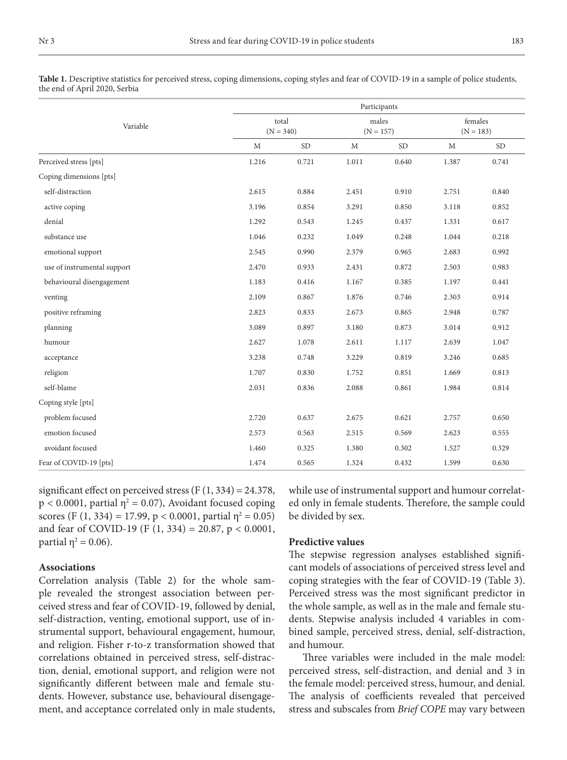|                             |             | Participants         |       |                      |       |                        |  |  |  |
|-----------------------------|-------------|----------------------|-------|----------------------|-------|------------------------|--|--|--|
| Variable                    |             | total<br>$(N = 340)$ |       | males<br>$(N = 157)$ |       | females<br>$(N = 183)$ |  |  |  |
|                             | $\mathbf M$ | $\rm SD$             | М     | <b>SD</b>            | M     | <b>SD</b>              |  |  |  |
| Perceived stress [pts]      | 1.216       | 0.721                | 1.011 | 0.640                | 1.387 | 0.741                  |  |  |  |
| Coping dimensions [pts]     |             |                      |       |                      |       |                        |  |  |  |
| self-distraction            | 2.615       | 0.884                | 2.451 | 0.910                | 2.751 | 0.840                  |  |  |  |
| active coping               | 3.196       | 0.854                | 3.291 | 0.850                | 3.118 | 0.852                  |  |  |  |
| denial                      | 1.292       | 0.543                | 1.245 | 0.437                | 1.331 | 0.617                  |  |  |  |
| substance use               | 1.046       | 0.232                | 1.049 | 0.248                | 1.044 | 0.218                  |  |  |  |
| emotional support           | 2.545       | 0.990                | 2.379 | 0.965                | 2.683 | 0.992                  |  |  |  |
| use of instrumental support | 2.470       | 0.933                | 2.431 | 0.872                | 2.503 | 0.983                  |  |  |  |
| behavioural disengagement   | 1.183       | 0.416                | 1.167 | 0.385                | 1.197 | 0.441                  |  |  |  |
| venting                     | 2.109       | 0.867                | 1.876 | 0.746                | 2.303 | 0.914                  |  |  |  |
| positive reframing          | 2.823       | 0.833                | 2.673 | 0.865                | 2.948 | 0.787                  |  |  |  |
| planning                    | 3.089       | 0.897                | 3.180 | 0.873                | 3.014 | 0.912                  |  |  |  |
| humour                      | 2.627       | 1.078                | 2.611 | 1.117                | 2.639 | 1.047                  |  |  |  |
| acceptance                  | 3.238       | 0.748                | 3.229 | 0.819                | 3.246 | 0.685                  |  |  |  |
| religion                    | 1.707       | 0.830                | 1.752 | 0.851                | 1.669 | 0.813                  |  |  |  |
| self-blame                  | 2.031       | 0.836                | 2.088 | 0.861                | 1.984 | 0.814                  |  |  |  |
| Coping style [pts]          |             |                      |       |                      |       |                        |  |  |  |
| problem focused             | 2.720       | 0.637                | 2.675 | 0.621                | 2.757 | 0.650                  |  |  |  |
| emotion focused             | 2.573       | 0.563                | 2.515 | 0.569                | 2.623 | 0.555                  |  |  |  |
| avoidant focused            | 1.460       | 0.325                | 1.380 | 0.302                | 1.527 | 0.329                  |  |  |  |
| Fear of COVID-19 [pts]      | 1.474       | 0.565                | 1.324 | 0.432                | 1.599 | 0.630                  |  |  |  |

**Table 1.** Descriptive statistics for perceived stress, coping dimensions, coping styles and fear of COVID-19 in a sample of police students, the end of April 2020, Serbia

significant effect on perceived stress  $(F(1, 334) = 24.378,$  $p < 0.0001$ , partial  $\eta^2 = 0.07$ ), Avoidant focused coping scores (F (1, 334) = 17.99,  $p < 0.0001$ , partial  $\eta^2 = 0.05$ ) and fear of COVID-19 (F (1, 334) = 20.87, p < 0.0001, partial  $\eta^2 = 0.06$ ).

# **Associations**

Correlation analysis (Table 2) for the whole sample revealed the strongest association between perceived stress and fear of COVID-19, followed by denial, self-distraction, venting, emotional support, use of instrumental support, behavioural engagement, humour, and religion. Fisher r-to-z transformation showed that correlations obtained in perceived stress, self-distraction, denial, emotional support, and religion were not significantly different between male and female students. However, substance use, behavioural disengagement, and acceptance correlated only in male students, while use of instrumental support and humour correlated only in female students. Therefore, the sample could be divided by sex.

### **Predictive values**

The stepwise regression analyses established significant models of associations of perceived stress level and coping strategies with the fear of COVID-19 (Table 3). Perceived stress was the most significant predictor in the whole sample, as well as in the male and female students. Stepwise analysis included 4 variables in combined sample, perceived stress, denial, self-distraction, and humour.

Three variables were included in the male model: perceived stress, self-distraction, and denial and 3 in the female model: perceived stress, humour, and denial. The analysis of coefficients revealed that perceived stress and subscales from *Brief COPE* may vary between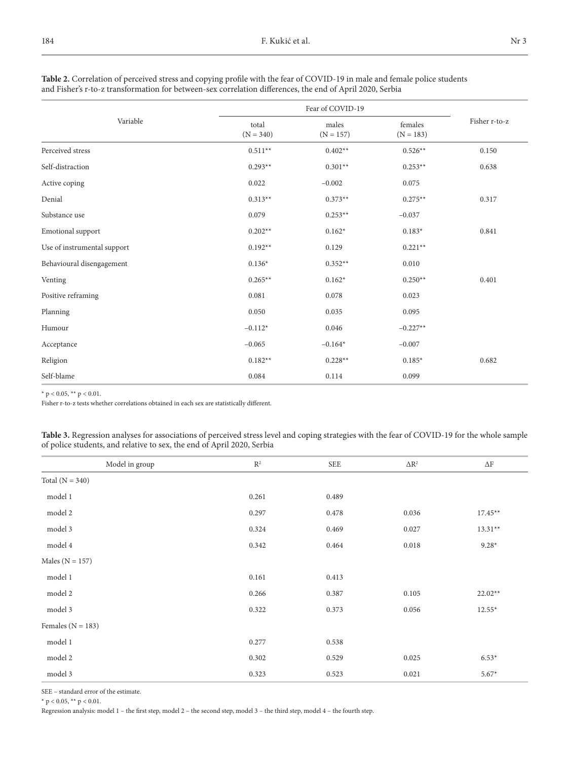| Variable                    | total<br>$(N = 340)$ | males<br>$(N = 157)$ | females<br>$(N = 183)$ | Fisher r-to-z |  |
|-----------------------------|----------------------|----------------------|------------------------|---------------|--|
| Perceived stress            | $0.511**$            | $0.402**$            | $0.526**$              | 0.150         |  |
| Self-distraction            | $0.293**$            | $0.301**$            | $0.253**$              | 0.638         |  |
| Active coping               | 0.022                | $-0.002$             | 0.075                  |               |  |
| Denial                      | $0.313**$            | $0.373**$            | $0.275**$              | 0.317         |  |
| Substance use               | 0.079                | $0.253**$            | $-0.037$               |               |  |
| Emotional support           | $0.202**$            | $0.162*$             | $0.183*$               | 0.841         |  |
| Use of instrumental support | $0.192**$            | 0.129                | $0.221**$              |               |  |
| Behavioural disengagement   | $0.136*$             | $0.352**$            | 0.010                  |               |  |
| Venting                     | $0.265**$            | $0.162*$             | $0.250**$              | 0.401         |  |
| Positive reframing          | 0.081                | 0.078                | 0.023                  |               |  |
| Planning                    | 0.050                | 0.035                | 0.095                  |               |  |
| Humour                      | $-0.112*$            | 0.046                | $-0.227**$             |               |  |
| Acceptance                  | $-0.065$             | $-0.164*$            | $-0.007$               |               |  |
| Religion                    | $0.182**$            | $0.228**$            | $0.185*$               | 0.682         |  |
| Self-blame                  | 0.084                | 0.114                | 0.099                  |               |  |

# **Table 2.** Correlation of perceived stress and copying profile with the fear of COVID-19 in male and female police students and Fisher's r-to-z transformation for between-sex correlation differences, the end of April 2020, Serbia

\*  $p < 0.05$ , \*\*  $p < 0.01$ .

Fisher r-to-z tests whether correlations obtained in each sex are statistically different.

|                                                                        | Table 3. Regression analyses for associations of perceived stress level and coping strategies with the fear of COVID-19 for the whole sample |
|------------------------------------------------------------------------|----------------------------------------------------------------------------------------------------------------------------------------------|
| of police students, and relative to sex, the end of April 2020, Serbia |                                                                                                                                              |

| Model in group        | $\mathbb{R}^2$ | SEE   | $\Delta \mathbf{R}^2$ | $\Delta \text{F}$ |
|-----------------------|----------------|-------|-----------------------|-------------------|
| Total $(N = 340)$     |                |       |                       |                   |
| model 1               | 0.261          | 0.489 |                       |                   |
| model 2               | 0.297          | 0.478 | 0.036                 | $17.45**$         |
| model 3               | 0.324          | 0.469 | 0.027                 | $13.31**$         |
| model 4               | 0.342          | 0.464 | 0.018                 | $9.28*$           |
| Males ( $N = 157$ )   |                |       |                       |                   |
| model 1               | 0.161          | 0.413 |                       |                   |
| model 2               | 0.266          | 0.387 | 0.105                 | $22.02**$         |
| model 3               | 0.322          | 0.373 | 0.056                 | $12.55*$          |
| Females ( $N = 183$ ) |                |       |                       |                   |
| model 1               | 0.277          | 0.538 |                       |                   |
| model 2               | 0.302          | 0.529 | 0.025                 | $6.53*$           |
| model 3               | 0.323          | 0.523 | 0.021                 | $5.67*$           |
|                       |                |       |                       |                   |

SEE – standard error of the estimate.

\* p < 0.05, \*\* p < 0.01.

Regression analysis: model 1 – the first step, model 2 – the second step, model 3 – the third step, model 4 – the fourth step.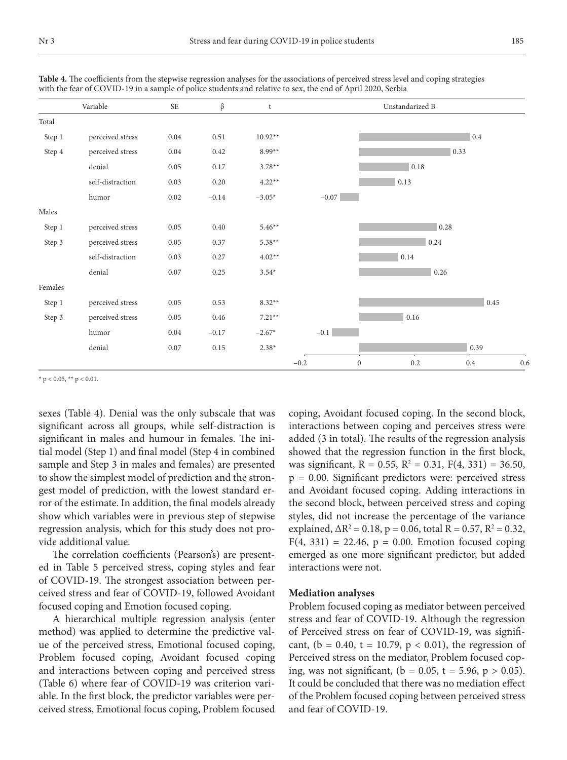| Variable |                  | <b>SE</b> | $\beta$  | t         |                            | Unstandarized B |         |     |
|----------|------------------|-----------|----------|-----------|----------------------------|-----------------|---------|-----|
| Total    |                  |           |          |           |                            |                 |         |     |
| Step 1   | perceived stress | 0.04      | 0.51     | $10.92**$ |                            |                 | $0.4\,$ |     |
| Step 4   | perceived stress | 0.04      | $0.42\,$ | $8.99**$  |                            |                 | 0.33    |     |
|          | denial           | 0.05      | 0.17     | $3.78**$  |                            | 0.18            |         |     |
|          | self-distraction | 0.03      | 0.20     | $4.22**$  |                            | 0.13            |         |     |
|          | humor            | 0.02      | $-0.14$  | $-3.05*$  | $-0.07$                    |                 |         |     |
| Males    |                  |           |          |           |                            |                 |         |     |
| Step 1   | perceived stress | 0.05      | 0.40     | $5.46**$  |                            |                 | 0.28    |     |
| Step 3   | perceived stress | 0.05      | 0.37     | $5.38**$  |                            | 0.24            |         |     |
|          | self-distraction | 0.03      | 0.27     | $4.02**$  |                            | 0.14            |         |     |
|          | denial           | 0.07      | 0.25     | $3.54*$   |                            |                 | 0.26    |     |
| Females  |                  |           |          |           |                            |                 |         |     |
| Step 1   | perceived stress | 0.05      | 0.53     | $8.32**$  |                            |                 | 0.45    |     |
| Step 3   | perceived stress | 0.05      | 0.46     | $7.21**$  |                            | $0.16\,$        |         |     |
|          | humor            | 0.04      | $-0.17$  | $-2.67*$  | $-0.1$                     |                 |         |     |
|          | denial           | 0.07      | 0.15     | $2.38*$   |                            |                 | 0.39    |     |
|          |                  |           |          |           | $-0.2$<br>$\boldsymbol{0}$ | 0.2             | $0.4\,$ | 0.6 |

**Table 4.** The coefficients from the stepwise regression analyses for the associations of perceived stress level and coping strategies with the fear of COVID-19 in a sample of police students and relative to sex, the end of April 2020, Serbia

\* p < 0.05, \*\* p < 0.01.

sexes (Table 4). Denial was the only subscale that was significant across all groups, while self-distraction is significant in males and humour in females. The initial model (Step 1) and final model (Step 4 in combined sample and Step 3 in males and females) are presented to show the simplest model of prediction and the strongest model of prediction, with the lowest standard error of the estimate. In addition, the final models already show which variables were in previous step of stepwise regression analysis, which for this study does not provide additional value.

The correlation coefficients (Pearson's) are presented in Table 5 perceived stress, coping styles and fear of COVID-19. The strongest association between perceived stress and fear of COVID-19, followed Avoidant focused coping and Emotion focused coping.

A hierarchical multiple regression analysis (enter method) was applied to determine the predictive value of the perceived stress, Emotional focused coping, Problem focused coping, Avoidant focused coping and interactions between coping and perceived stress (Table 6) where fear of COVID-19 was criterion variable. In the first block, the predictor variables were perceived stress, Emotional focus coping, Problem focused coping, Avoidant focused coping. In the second block, interactions between coping and perceives stress were added (3 in total). The results of the regression analysis showed that the regression function in the first block, was significant,  $R = 0.55$ ,  $R^2 = 0.31$ ,  $F(4, 331) = 36.50$ ,  $p = 0.00$ . Significant predictors were: perceived stress and Avoidant focused coping. Adding interactions in the second block, between perceived stress and coping styles, did not increase the percentage of the variance explained,  $\Delta R^2 = 0.18$ , p = 0.06, total R = 0.57, R<sup>2</sup> = 0.32,  $F(4, 331) = 22.46$ ,  $p = 0.00$ . Emotion focused coping emerged as one more significant predictor, but added interactions were not.

# **Mediation analyses**

Problem focused coping as mediator between perceived stress and fear of COVID-19. Although the regression of Perceived stress on fear of COVID-19, was significant, ( $b = 0.40$ ,  $t = 10.79$ ,  $p < 0.01$ ), the regression of Perceived stress on the mediator, Problem focused coping, was not significant,  $(b = 0.05, t = 5.96, p > 0.05)$ . It could be concluded that there was no mediation effect of the Problem focused coping between perceived stress and fear of COVID-19.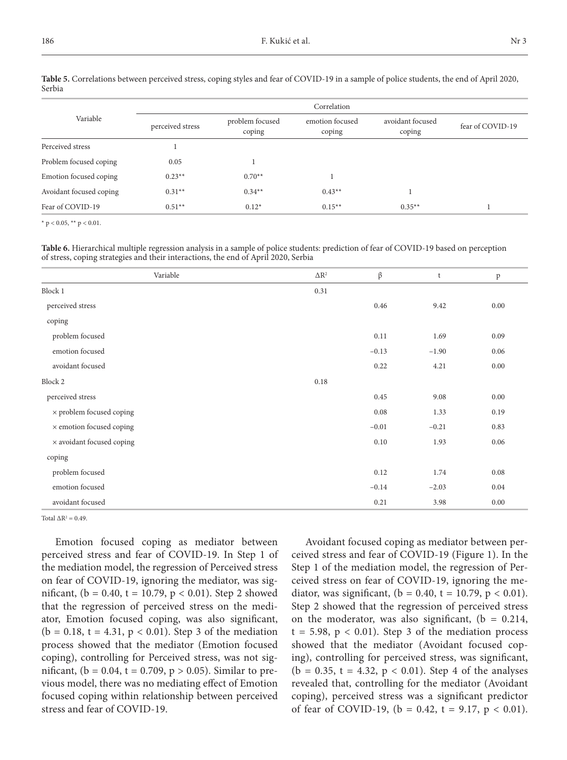| Table 5. Correlations between perceived stress, coping styles and fear of COVID-19 in a sample of police students, the end of April 2020, |  |
|-------------------------------------------------------------------------------------------------------------------------------------------|--|
| Serbia                                                                                                                                    |  |

|                         | Correlation      |                           |                           |          |                  |  |
|-------------------------|------------------|---------------------------|---------------------------|----------|------------------|--|
| Variable                | perceived stress | problem focused<br>coping | emotion focused<br>coping |          | fear of COVID-19 |  |
| Perceived stress        |                  |                           |                           |          |                  |  |
| Problem focused coping  | 0.05             |                           |                           |          |                  |  |
| Emotion focused coping  | $0.23**$         | $0.70**$                  |                           |          |                  |  |
| Avoidant focused coping | $0.31**$         | $0.34**$                  | $0.43**$                  |          |                  |  |
| Fear of COVID-19        | $0.51**$         | $0.12*$                   | $0.15**$                  | $0.35**$ |                  |  |

\*  $p < 0.05$ , \*\*  $p < 0.01$ .

**Table 6.** Hierarchical multiple regression analysis in a sample of police students: prediction of fear of COVID-19 based on perception of stress, coping strategies and their interactions, the end of April 2020, Serbia

| Variable                        | $\Delta R^2$ | $\beta$ | t       | $\, {\bf p}$ |
|---------------------------------|--------------|---------|---------|--------------|
| Block 1                         | 0.31         |         |         |              |
| perceived stress                |              | 0.46    | 9.42    | 0.00         |
| coping                          |              |         |         |              |
| problem focused                 |              | 0.11    | 1.69    | 0.09         |
| emotion focused                 |              | $-0.13$ | $-1.90$ | 0.06         |
| avoidant focused                |              | 0.22    | 4.21    | 0.00         |
| Block 2                         | 0.18         |         |         |              |
| perceived stress                |              | 0.45    | 9.08    | 0.00         |
| $\times$ problem focused coping |              | 0.08    | 1.33    | 0.19         |
| $\times$ emotion focused coping |              | $-0.01$ | $-0.21$ | 0.83         |
| × avoidant focused coping       |              | 0.10    | 1.93    | 0.06         |
| coping                          |              |         |         |              |
| problem focused                 |              | 0.12    | 1.74    | 0.08         |
| emotion focused                 |              | $-0.14$ | $-2.03$ | 0.04         |
| avoidant focused                |              | 0.21    | 3.98    | 0.00         |

Total  $\Delta R^2 = 0.49$ .

Emotion focused coping as mediator between perceived stress and fear of COVID-19. In Step 1 of the mediation model, the regression of Perceived stress on fear of COVID-19, ignoring the mediator, was significant, ( $b = 0.40$ ,  $t = 10.79$ ,  $p < 0.01$ ). Step 2 showed that the regression of perceived stress on the mediator, Emotion focused coping, was also significant,  $(b = 0.18, t = 4.31, p < 0.01)$ . Step 3 of the mediation process showed that the mediator (Emotion focused coping), controlling for Perceived stress, was not significant, ( $b = 0.04$ ,  $t = 0.709$ ,  $p > 0.05$ ). Similar to previous model, there was no mediating effect of Emotion focused coping within relationship between perceived stress and fear of COVID-19.

Avoidant focused coping as mediator between perceived stress and fear of COVID-19 (Figure 1). In the Step 1 of the mediation model, the regression of Perceived stress on fear of COVID-19, ignoring the mediator, was significant, ( $b = 0.40$ ,  $t = 10.79$ ,  $p < 0.01$ ). Step 2 showed that the regression of perceived stress on the moderator, was also significant,  $(b = 0.214,$  $t = 5.98$ ,  $p < 0.01$ ). Step 3 of the mediation process showed that the mediator (Avoidant focused coping), controlling for perceived stress, was significant,  $(b = 0.35, t = 4.32, p < 0.01)$ . Step 4 of the analyses revealed that, controlling for the mediator (Avoidant coping), perceived stress was a significant predictor of fear of COVID-19, ( $b = 0.42$ ,  $t = 9.17$ ,  $p < 0.01$ ).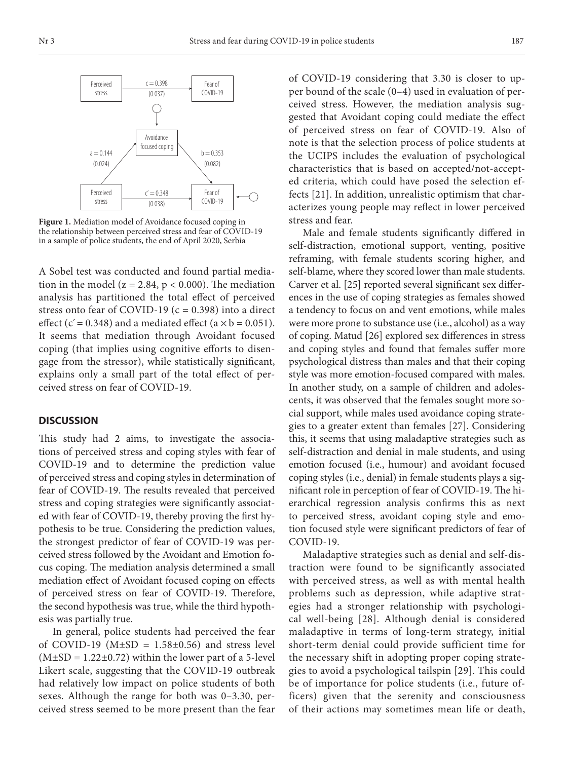

**Figure 1.** Mediation model of Avoidance focused coping in the relationship between perceived stress and fear of COVID-19 in a sample of police students, the end of April 2020, Serbia

A Sobel test was conducted and found partial mediation in the model ( $z = 2.84$ ,  $p < 0.000$ ). The mediation analysis has partitioned the total effect of perceived stress onto fear of COVID-19 ( $c = 0.398$ ) into a direct effect ( $c' = 0.348$ ) and a mediated effect ( $a \times b = 0.051$ ). It seems that mediation through Avoidant focused coping (that implies using cognitive efforts to disengage from the stressor), while statistically significant, explains only a small part of the total effect of perceived stress on fear of COVID-19.

#### **DISCUSSION**

This study had 2 aims, to investigate the associations of perceived stress and coping styles with fear of COVID-19 and to determine the prediction value of perceived stress and coping styles in determination of fear of COVID-19. The results revealed that perceived stress and coping strategies were significantly associated with fear of COVID-19, thereby proving the first hypothesis to be true. Considering the prediction values, the strongest predictor of fear of COVID-19 was perceived stress followed by the Avoidant and Emotion focus coping. The mediation analysis determined a small mediation effect of Avoidant focused coping on effects of perceived stress on fear of COVID-19. Therefore, the second hypothesis was true, while the third hypothesis was partially true.

In general, police students had perceived the fear of COVID-19 ( $M\pm SD = 1.58\pm 0.56$ ) and stress level  $(M\pm SD = 1.22\pm 0.72)$  within the lower part of a 5-level Likert scale, suggesting that the COVID-19 outbreak had relatively low impact on police students of both sexes. Although the range for both was 0–3.30, perceived stress seemed to be more present than the fear of COVID-19 considering that 3.30 is closer to upper bound of the scale (0–4) used in evaluation of perceived stress. However, the mediation analysis suggested that Avoidant coping could mediate the effect of perceived stress on fear of COVID-19. Also of note is that the selection process of police students at the UCIPS includes the evaluation of psychological characteristics that is based on accepted/not-accepted criteria, which could have posed the selection effects [21]. In addition, unrealistic optimism that characterizes young people may reflect in lower perceived stress and fear.

Male and female students significantly differed in self-distraction, emotional support, venting, positive reframing, with female students scoring higher, and self-blame, where they scored lower than male students. Carver et al. [25] reported several significant sex differences in the use of coping strategies as females showed a tendency to focus on and vent emotions, while males were more prone to substance use (i.e., alcohol) as a way of coping. Matud [26] explored sex differences in stress and coping styles and found that females suffer more psychological distress than males and that their coping style was more emotion-focused compared with males. In another study, on a sample of children and adolescents, it was observed that the females sought more social support, while males used avoidance coping strategies to a greater extent than females [27]. Considering this, it seems that using maladaptive strategies such as self-distraction and denial in male students, and using emotion focused (i.e., humour) and avoidant focused coping styles (i.e., denial) in female students plays a significant role in perception of fear of COVID-19. The hierarchical regression analysis confirms this as next to perceived stress, avoidant coping style and emotion focused style were significant predictors of fear of COVID-19.

Maladaptive strategies such as denial and self-distraction were found to be significantly associated with perceived stress, as well as with mental health problems such as depression, while adaptive strategies had a stronger relationship with psychological well-being [28]. Although denial is considered maladaptive in terms of long-term strategy, initial short-term denial could provide sufficient time for the necessary shift in adopting proper coping strategies to avoid a psychological tailspin [29]. This could be of importance for police students (i.e., future officers) given that the serenity and consciousness of their actions may sometimes mean life or death,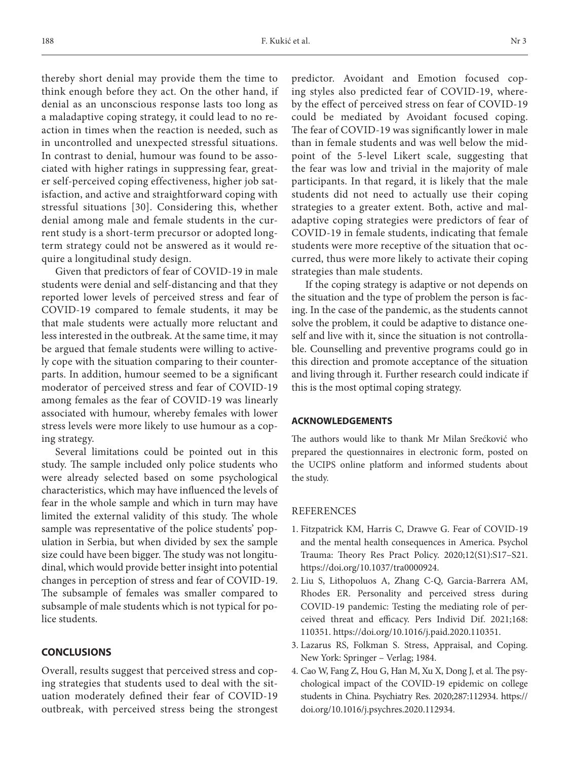thereby short denial may provide them the time to think enough before they act. On the other hand, if denial as an unconscious response lasts too long as a maladaptive coping strategy, it could lead to no reaction in times when the reaction is needed, such as in uncontrolled and unexpected stressful situations. In contrast to denial, humour was found to be associated with higher ratings in suppressing fear, greater self-perceived coping effectiveness, higher job satisfaction, and active and straightforward coping with stressful situations [30]. Considering this, whether denial among male and female students in the current study is a short-term precursor or adopted longterm strategy could not be answered as it would require a longitudinal study design.

Given that predictors of fear of COVID-19 in male students were denial and self-distancing and that they reported lower levels of perceived stress and fear of COVID-19 compared to female students, it may be that male students were actually more reluctant and less interested in the outbreak. At the same time, it may be argued that female students were willing to actively cope with the situation comparing to their counterparts. In addition, humour seemed to be a significant moderator of perceived stress and fear of COVID-19 among females as the fear of COVID-19 was linearly associated with humour, whereby females with lower stress levels were more likely to use humour as a coping strategy.

Several limitations could be pointed out in this study. The sample included only police students who were already selected based on some psychological characteristics, which may have influenced the levels of fear in the whole sample and which in turn may have limited the external validity of this study. The whole sample was representative of the police students' population in Serbia, but when divided by sex the sample size could have been bigger. The study was not longitudinal, which would provide better insight into potential changes in perception of stress and fear of COVID-19. The subsample of females was smaller compared to subsample of male students which is not typical for police students.

#### **CONCLUSIONS**

Overall, results suggest that perceived stress and coping strategies that students used to deal with the situation moderately defined their fear of COVID-19 outbreak, with perceived stress being the strongest predictor. Avoidant and Emotion focused coping styles also predicted fear of COVID-19, whereby the effect of perceived stress on fear of COVID-19 could be mediated by Avoidant focused coping. The fear of COVID-19 was significantly lower in male than in female students and was well below the midpoint of the 5-level Likert scale, suggesting that the fear was low and trivial in the majority of male participants. In that regard, it is likely that the male students did not need to actually use their coping strategies to a greater extent. Both, active and maladaptive coping strategies were predictors of fear of COVID-19 in female students, indicating that female students were more receptive of the situation that occurred, thus were more likely to activate their coping strategies than male students.

If the coping strategy is adaptive or not depends on the situation and the type of problem the person is facing. In the case of the pandemic, as the students cannot solve the problem, it could be adaptive to distance oneself and live with it, since the situation is not controllable. Counselling and preventive programs could go in this direction and promote acceptance of the situation and living through it. Further research could indicate if this is the most optimal coping strategy.

#### **ACKNOWLEDGEMENTS**

The authors would like to thank Mr Milan Srećković who prepared the questionnaires in electronic form, posted on the UCIPS online platform and informed students about the study.

#### REFERENCES

- 1. Fitzpatrick KM, Harris C, Drawve G. Fear of COVID-19 and the mental health consequences in America. Psychol Trauma: Theory Res Pract Policy. 2020;12(S1):S17–S21. <https://doi.org/10.1037/tra0000924>.
- 2. Liu S, Lithopoluos A, Zhang C-Q, Garcia-Barrera AM, Rhodes ER. Personality and perceived stress during COVID-19 pandemic: Testing the mediating role of perceived threat and efficacy. Pers Individ Dif. 2021;168: 110351. [https://doi.org/10.1016/j.paid.2020.110351.](https://doi.org/10.1016/j.paid.2020.110351)
- 3. Lazarus RS, Folkman S. Stress, Appraisal, and Coping. New York: Springer – Verlag; 1984.
- 4. Cao W, Fang Z, Hou G, Han M, Xu X, Dong J, et al. The psychological impact of the COVID-19 epidemic on college students in China. Psychiatry Res. 2020;287:112934. [https://](https://doi.org/10.1016/j.psychres.2020.112934) [doi.org/10.1016/j.psychres.2020.112934](https://doi.org/10.1016/j.psychres.2020.112934).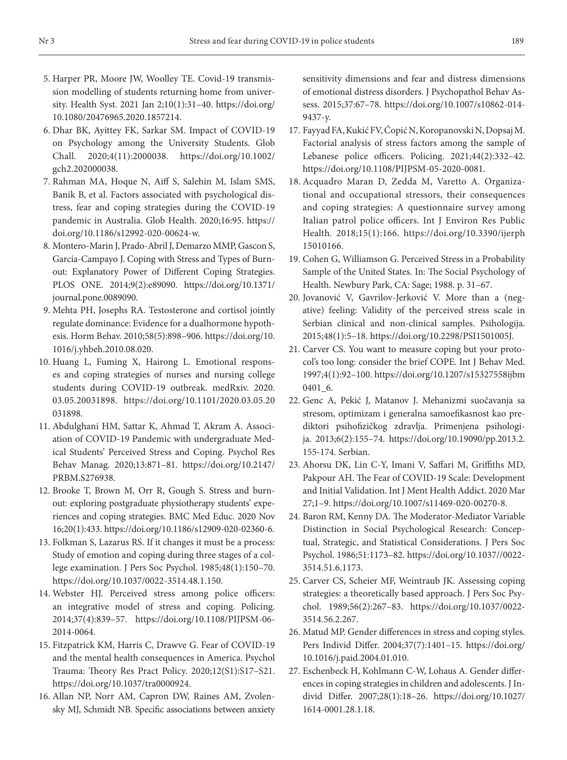- 5. Harper PR, Moore JW, Woolley TE. Covid-19 transmission modelling of students returning home from university. Health Syst. 2021 Jan 2;10(1):31–40. [https://doi.org/](https://doi.org/10.1080/20476965.2020.1857214) [10.1080/20476965.2020.1857214](https://doi.org/10.1080/20476965.2020.1857214).
- 6. Dhar BK, Ayittey FK, Sarkar SM. Impact of COVID-19 on Psychology among the University Students. Glob Chall. 2020;4(11):2000038. [https://doi.org/10.1002/](https://doi.org/10.1002/gch2.202000038) [gch2.202000038.](https://doi.org/10.1002/gch2.202000038)
- 7. Rahman MA, Hoque N, Aiff S, Salehin M, Islam SMS, Banik B, et al. Factors associated with psychological distress, fear and coping strategies during the COVID-19 pandemic in Australia. Glob Health. 2020;16:95. [https://](https://doi.org/10.1186/s12992-020-00624-w) [doi.org/10.1186/s12992-020-00624-w.](https://doi.org/10.1186/s12992-020-00624-w)
- 8. Montero-Marin J, Prado-Abril J, Demarzo MMP, Gascon S, García-Campayo J. Coping with Stress and Types of Burnout: Explanatory Power of Different Coping Strategies. PLOS ONE. 2014;9(2):e89090. [https://doi.org/10.1371/](https://doi.org/10.1371/journal.pone.0089090) [journal.pone.0089090](https://doi.org/10.1371/journal.pone.0089090).
- 9. Mehta PH, Josephs RA. Testosterone and cortisol jointly regulate dominance: Evidence for a dualhormone hypothesis. Horm Behav. 2010;58(5):898–906. [https://doi.org/10.](https://doi.org/10.1016/j.yhbeh.2010.08.020) [1016/j.yhbeh.2010.08.020](https://doi.org/10.1016/j.yhbeh.2010.08.020).
- 10. Huang L, Fuming X, Hairong L. Emotional responses and coping strategies of nurses and nursing college students during COVID-19 outbreak. medRxiv. 2020. 03.05.20031898. [https://doi.org/10.1101/2020.03.05.20](https://doi.org/10.1101/2020.03.05.20031898) [031898.](https://doi.org/10.1101/2020.03.05.20031898)
- 11. Abdulghani HM, Sattar K, Ahmad T, Akram A. Association of COVID-19 Pandemic with undergraduate Medical Students' Perceived Stress and Coping. Psychol Res Behav Manag. 2020;13:871–81. [https://doi.org/10.2147/](https://doi.org/10.2147/PRBM.S276938) [PRBM.S276938](https://doi.org/10.2147/PRBM.S276938).
- 12. Brooke T, Brown M, Orr R, Gough S. Stress and burnout: exploring postgraduate physiotherapy students' experiences and coping strategies. BMC Med Educ. 2020 Nov 16;20(1):433. <https://doi.org/10.1186/s12909-020-02360-6>.
- 13. Folkman S, Lazarus RS. If it changes it must be a process: Study of emotion and coping during three stages of a college examination. J Pers Soc Psychol. 1985;48(1):150–70. <https://doi.org/10.1037/0022-3514.48.1.150>.
- 14. Webster HJ. Perceived stress among police officers: an integrative model of stress and coping. Policing. 2014;37(4):839–57. [https://doi.org/10.1108/PIJPSM-06-](https://doi.org/10.1108/PIJPSM-06-2014-0064) [2014-0064.](https://doi.org/10.1108/PIJPSM-06-2014-0064)
- 15. Fitzpatrick KM, Harris C, Drawve G. Fear of COVID-19 and the mental health consequences in America. Psychol Trauma: Theory Res Pract Policy. 2020;12(S1):S17–S21. [https://doi.org/10.1037/tra0000924.](https://doi.org/10.1037/tra0000924)
- 16. Allan NP, Norr AM, Capron DW, Raines AM, Zvolensky MJ, Schmidt NB. Specific associations between anxiety

sensitivity dimensions and fear and distress dimensions of emotional distress disorders. J Psychopathol Behav Assess. 2015;37:67–78. [https://doi.org/10.1007/s10862-014-](https://doi.org/10.1007/s10862-014-9437-y) [9437-y](https://doi.org/10.1007/s10862-014-9437-y).

- 17. Fayyad FA, Kukić FV, Ćopić N, Koropanovski N, Dopsaj M. Factorial analysis of stress factors among the sample of Lebanese police officers. Policing. 2021;44(2):332–42. [https://doi.org/10.1108/PIJPSM-05-2020-0081.](https://doi.org/10.1108/PIJPSM-05-2020-0081)
- 18. Acquadro Maran D, Zedda M, Varetto A. Organizational and occupational stressors, their consequences and coping strategies: A questionnaire survey among Italian patrol police officers. Int J Environ Res Public Health. 2018;15(1):166. [https://doi.org/10.3390/ijerph](https://doi.org/10.3390/ijerph15010166) [15010166](https://doi.org/10.3390/ijerph15010166).
- 19. Cohen G, Williamson G. Perceived Stress in a Probability Sample of the United States. In: The Social Psychology of Health. Newbury Park, CA: Sage; 1988. p. 31–67.
- 20. Jovanović V, Gavrilov-Jerković V. More than a (negative) feeling: Validity of the perceived stress scale in Serbian clinical and non-clinical samples. Psihologija. 2015;48(1):5–18. [https://doi.org/10.2298/PSI1501005J.](https://doi.org/10.2298/PSI1501005J)
- 21. Carver CS. You want to measure coping but your protocol's too long: consider the brief COPE. Int J Behav Med. 1997;4(1):92–100. [https://doi.org/10.1207/s15327558ijbm](https://doi.org/10.1207/s15327558ijbm0401_6) [0401\\_6](https://doi.org/10.1207/s15327558ijbm0401_6).
- 22. Genc A, Pekić J, Matanov J. Mehanizmi suočavanja sa stresom, optimizam i generalna samoefikasnost kao prediktori psihofizičkog zdravlja. Primenjena psihologija. 2013;6(2):155–74. [https://doi.org/10.19090/pp.2013.2.](https://doi.org/10.19090/pp.2013.2.155-174) [155-174.](https://doi.org/10.19090/pp.2013.2.155-174) Serbian.
- 23. Ahorsu DK, Lin C-Y, Imani V, Saffari M, Griffiths MD, Pakpour AH. The Fear of COVID-19 Scale: Development and Initial Validation. Int J Ment Health Addict. 2020 Mar 27;1–9. <https://doi.org/10.1007/s11469-020-00270-8>.
- 24. Baron RM, Kenny DA. The Moderator-Mediator Variable Distinction in Social Psychological Research: Conceptual, Strategic, and Statistical Considerations. J Pers Soc Psychol. 1986;51:1173–82. [https://doi.org/10.1037//0022-](https://doi.org/10.1037//0022-3514.51.6.1173) [3514.51.6.1173](https://doi.org/10.1037//0022-3514.51.6.1173).
- 25. Carver CS, Scheier MF, Weintraub JK. Assessing coping strategies: a theoretically based approach. J Pers Soc Psychol. 1989;56(2):267–83. [https://doi.org/10.1037/0022-](https://doi.org/10.1037/0022-3514.56.2.267) [3514.56.2.267](https://doi.org/10.1037/0022-3514.56.2.267).
- 26. Matud MP. Gender differences in stress and coping styles. Pers Individ Differ. 2004;37(7):1401–15. [https://doi.org/](https://doi.org/10.1016/j.paid.2004.01.010) [10.1016/j.paid.2004.01.010](https://doi.org/10.1016/j.paid.2004.01.010).
- 27. Eschenbeck H, Kohlmann C-W, Lohaus A. Gender differences in coping strategies in children and adolescents. J Individ Differ. 2007;28(1):18–26. [https://doi.org/10.1027/](https://doi.org/10.1027/1614-0001.28.1.18) [1614-0001.28.1.18](https://doi.org/10.1027/1614-0001.28.1.18).